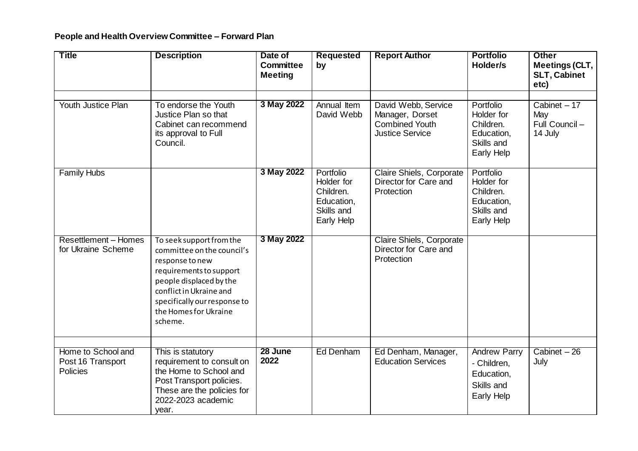## **People and Health Overview Committee – Forward Plan**

| <b>Title</b>                                               | <b>Description</b>                                                                                                                                                                                                             | Date of<br><b>Committee</b><br><b>Meeting</b> | <b>Requested</b><br>by                                                         | <b>Report Author</b>                                                                      | <b>Portfolio</b><br>Holder/s                                                        | <b>Other</b><br><b>Meetings (CLT,</b><br><b>SLT, Cabinet</b><br>etc) |
|------------------------------------------------------------|--------------------------------------------------------------------------------------------------------------------------------------------------------------------------------------------------------------------------------|-----------------------------------------------|--------------------------------------------------------------------------------|-------------------------------------------------------------------------------------------|-------------------------------------------------------------------------------------|----------------------------------------------------------------------|
| Youth Justice Plan                                         | To endorse the Youth<br>Justice Plan so that<br>Cabinet can recommend<br>its approval to Full<br>Council.                                                                                                                      | 3 May 2022                                    | Annual Item<br>David Webb                                                      | David Webb, Service<br>Manager, Dorset<br><b>Combined Youth</b><br><b>Justice Service</b> | Portfolio<br>Holder for<br>Children.<br>Education,<br>Skills and<br>Early Help      | Cabinet $-17$<br>May<br>Full Council-<br>14 July                     |
| <b>Family Hubs</b>                                         |                                                                                                                                                                                                                                | 3 May 2022                                    | Portfolio<br>Holder for<br>Children.<br>Education,<br>Skills and<br>Early Help | Claire Shiels, Corporate<br>Director for Care and<br>Protection                           | Portfolio<br>Holder for<br>Children.<br>Education,<br>Skills and<br>Early Help      |                                                                      |
| <b>Resettlement - Homes</b><br>for Ukraine Scheme          | To seek support from the<br>committee on the council's<br>response to new<br>requirements to support<br>people displaced by the<br>conflict in Ukraine and<br>specifically our response to<br>the Homes for Ukraine<br>scheme. | 3 May 2022                                    |                                                                                | Claire Shiels, Corporate<br>Director for Care and<br>Protection                           |                                                                                     |                                                                      |
| Home to School and<br>Post 16 Transport<br><b>Policies</b> | This is statutory<br>requirement to consult on<br>the Home to School and<br>Post Transport policies.<br>These are the policies for<br>2022-2023 academic<br>year.                                                              | 28 June<br>2022                               | Ed Denham                                                                      | Ed Denham, Manager,<br><b>Education Services</b>                                          | <b>Andrew Parry</b><br>- Children,<br>Education,<br>Skills and<br><b>Early Help</b> | Cabinet - 26<br>July                                                 |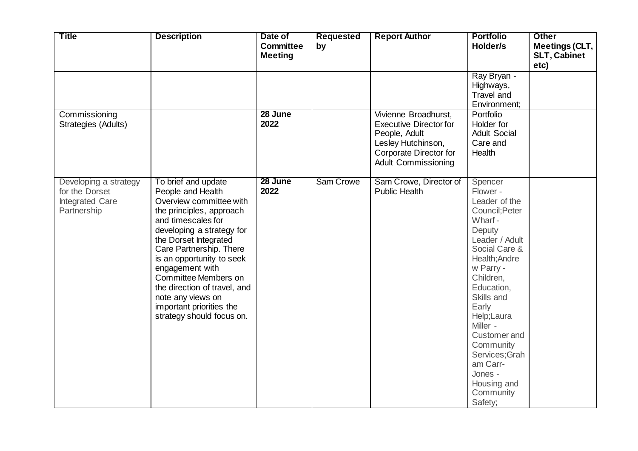| <b>Title</b>                                                              | <b>Description</b>                                                                                                                                                                                                                                                                                                                                                                           | Date of<br><b>Committee</b><br><b>Meeting</b> | Requested<br>by | <b>Report Author</b>                                                                                                                                 | <b>Portfolio</b><br>Holder/s                                                                                                                                                                                                                                                                                                         | <b>Other</b><br>Meetings (CLT,<br><b>SLT, Cabinet</b><br>etc) |
|---------------------------------------------------------------------------|----------------------------------------------------------------------------------------------------------------------------------------------------------------------------------------------------------------------------------------------------------------------------------------------------------------------------------------------------------------------------------------------|-----------------------------------------------|-----------------|------------------------------------------------------------------------------------------------------------------------------------------------------|--------------------------------------------------------------------------------------------------------------------------------------------------------------------------------------------------------------------------------------------------------------------------------------------------------------------------------------|---------------------------------------------------------------|
|                                                                           |                                                                                                                                                                                                                                                                                                                                                                                              |                                               |                 |                                                                                                                                                      | Ray Bryan -<br>Highways,<br>Travel and<br>Environment;                                                                                                                                                                                                                                                                               |                                                               |
| Commissioning<br>Strategies (Adults)                                      |                                                                                                                                                                                                                                                                                                                                                                                              | 28 June<br>2022                               |                 | Vivienne Broadhurst,<br><b>Executive Director for</b><br>People, Adult<br>Lesley Hutchinson,<br>Corporate Director for<br><b>Adult Commissioning</b> | Portfolio<br>Holder for<br><b>Adult Social</b><br>Care and<br>Health                                                                                                                                                                                                                                                                 |                                                               |
| Developing a strategy<br>for the Dorset<br>Integrated Care<br>Partnership | To brief and update<br>People and Health<br>Overview committee with<br>the principles, approach<br>and timescales for<br>developing a strategy for<br>the Dorset Integrated<br>Care Partnership. There<br>is an opportunity to seek<br>engagement with<br>Committee Members on<br>the direction of travel, and<br>note any views on<br>important priorities the<br>strategy should focus on. | 28 June<br>2022                               | Sam Crowe       | Sam Crowe, Director of<br><b>Public Health</b>                                                                                                       | Spencer<br>Flower -<br>Leader of the<br>Council; Peter<br>Wharf-<br>Deputy<br>Leader / Adult<br>Social Care &<br>Health; Andre<br>w Parry -<br>Children,<br>Education,<br>Skills and<br>Early<br>Help;Laura<br>Miller -<br>Customer and<br>Community<br>Services; Grah<br>am Carr-<br>Jones -<br>Housing and<br>Community<br>Safety; |                                                               |